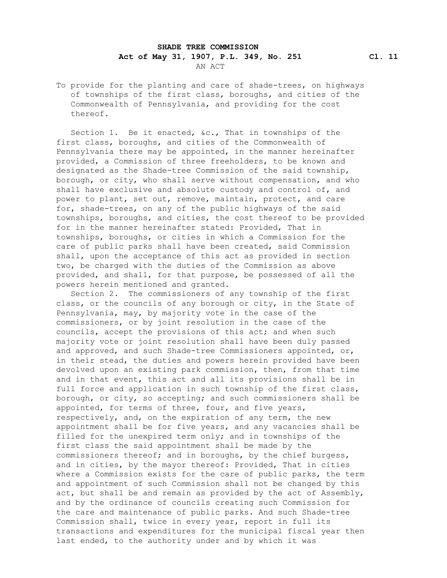## **SHADE TREE COMMISSION Act of May 31, 1907, P.L. 349, No. 251 Cl. 11** AN ACT

 To provide for the planting and care of shade-trees, on highways of townships of the first class, boroughs, and cities of the Commonwealth of Pennsylvania, and providing for the cost thereof.

 Section 1. Be it enacted, &c., That in townships of the first class, boroughs, and cities of the Commonwealth of Pennsylvania there may be appointed, in the manner hereinafter provided, a Commission of three freeholders, to be known and designated as the Shade-tree Commission of the said township, borough, or city, who shall serve without compensation, and who shall have exclusive and absolute custody and control of, and power to plant, set out, remove, maintain, protect, and care for, shade-trees, on any of the public highways of the said townships, boroughs, and cities, the cost thereof to be provided for in the manner hereinafter stated: Provided, That in townships, boroughs, or cities in which a Commission for the care of public parks shall have been created, said Commission shall, upon the acceptance of this act as provided in section two, be charged with the duties of the Commission as above provided, and shall, for that purpose, be possessed of all the powers herein mentioned and granted.

 Section 2. The commissioners of any township of the first class, or the councils of any borough or city, in the State of Pennsylvania, may, by majority vote in the case of the commissioners, or by joint resolution in the case of the councils, accept the provisions of this act; and when such majority vote or joint resolution shall have been duly passed and approved, and such Shade-tree Commissioners appointed, or, in their stead, the duties and powers herein provided have been devolved upon an existing park commission, then, from that time and in that event, this act and all its provisions shall be in full force and application in such township of the first class, borough, or city, so accepting; and such commissioners shall be appointed, for terms of three, four, and five years, respectively, and, on the expiration of any term, the new appointment shall be for five years, and any vacancies shall be filled for the unexpired term only; and in townships of the first class the said appointment shall be made by the commissioners thereof; and in boroughs, by the chief burgess, and in cities, by the mayor thereof: Provided, That in cities where a Commission exists for the care of public parks, the term and appointment of such Commission shall not be changed by this act, but shall be and remain as provided by the act of Assembly, and by the ordinance of councils creating such Commission for the care and maintenance of public parks. And such Shade-tree Commission shall, twice in every year, report in full its transactions and expenditures for the municipal fiscal year then last ended, to the authority under and by which it was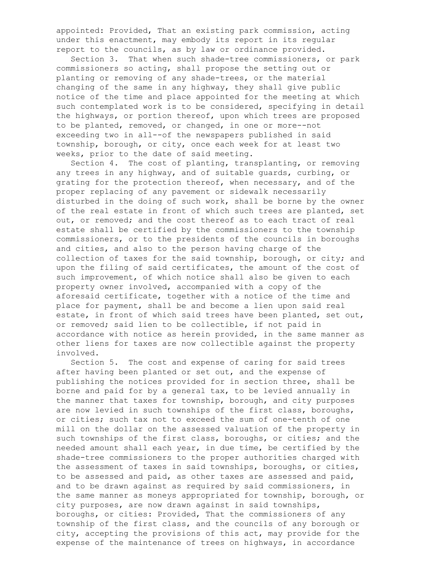appointed: Provided, That an existing park commission, acting under this enactment, may embody its report in its regular report to the councils, as by law or ordinance provided.

 Section 3. That when such shade-tree commissioners, or park commissioners so acting, shall propose the setting out or planting or removing of any shade-trees, or the material changing of the same in any highway, they shall give public notice of the time and place appointed for the meeting at which such contemplated work is to be considered, specifying in detail the highways, or portion thereof, upon which trees are proposed to be planted, removed, or changed, in one or more--not exceeding two in all--of the newspapers published in said township, borough, or city, once each week for at least two weeks, prior to the date of said meeting.

 Section 4. The cost of planting, transplanting, or removing any trees in any highway, and of suitable guards, curbing, or grating for the protection thereof, when necessary, and of the proper replacing of any pavement or sidewalk necessarily disturbed in the doing of such work, shall be borne by the owner of the real estate in front of which such trees are planted, set out, or removed; and the cost thereof as to each tract of real estate shall be certified by the commissioners to the township commissioners, or to the presidents of the councils in boroughs and cities, and also to the person having charge of the collection of taxes for the said township, borough, or city; and upon the filing of said certificates, the amount of the cost of such improvement, of which notice shall also be given to each property owner involved, accompanied with a copy of the aforesaid certificate, together with a notice of the time and place for payment, shall be and become a lien upon said real estate, in front of which said trees have been planted, set out, or removed; said lien to be collectible, if not paid in accordance with notice as herein provided, in the same manner as other liens for taxes are now collectible against the property involved.

 Section 5. The cost and expense of caring for said trees after having been planted or set out, and the expense of publishing the notices provided for in section three, shall be borne and paid for by a general tax, to be levied annually in the manner that taxes for township, borough, and city purposes are now levied in such townships of the first class, boroughs, or cities; such tax not to exceed the sum of one-tenth of one mill on the dollar on the assessed valuation of the property in such townships of the first class, boroughs, or cities; and the needed amount shall each year, in due time, be certified by the shade-tree commissioners to the proper authorities charged with the assessment of taxes in said townships, boroughs, or cities, to be assessed and paid, as other taxes are assessed and paid, and to be drawn against as required by said commissioners, in the same manner as moneys appropriated for township, borough, or city purposes, are now drawn against in said townships, boroughs, or cities: Provided, That the commissioners of any township of the first class, and the councils of any borough or city, accepting the provisions of this act, may provide for the expense of the maintenance of trees on highways, in accordance